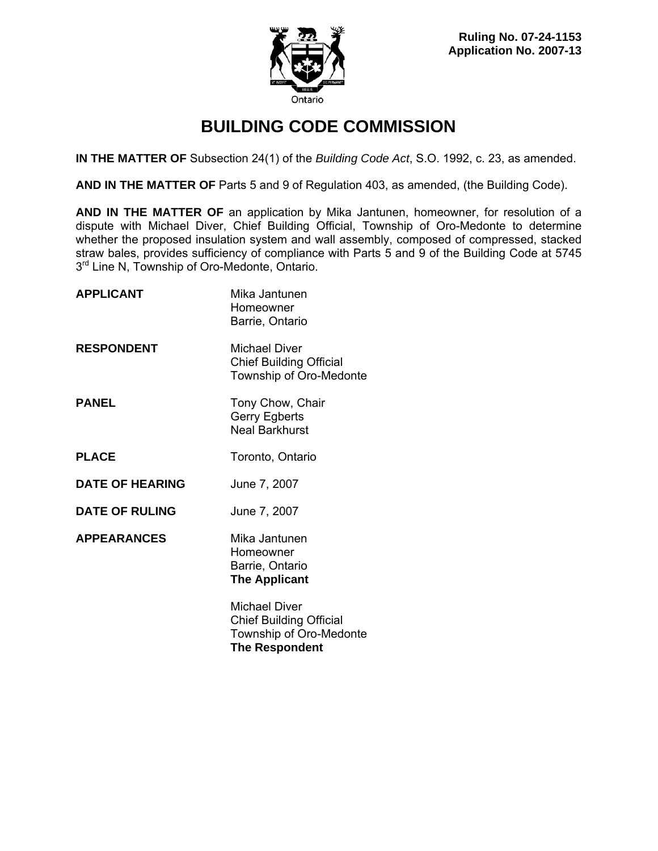

# **BUILDING CODE COMMISSION**

**IN THE MATTER OF** Subsection 24(1) of the *Building Code Act*, S.O. 1992, c. 23, as amended.

**AND IN THE MATTER OF** Parts 5 and 9 of Regulation 403, as amended, (the Building Code).

**AND IN THE MATTER OF** an application by Mika Jantunen, homeowner, for resolution of a dispute with Michael Diver, Chief Building Official, Township of Oro-Medonte to determine whether the proposed insulation system and wall assembly, composed of compressed, stacked straw bales, provides sufficiency of compliance with Parts 5 and 9 of the Building Code at 5745  $3<sup>rd</sup>$  Line N, Township of Oro-Medonte, Ontario.

| <b>APPLICANT</b>       | Mika Jantunen<br>Homeowner<br>Barrie, Ontario                                                              |
|------------------------|------------------------------------------------------------------------------------------------------------|
| <b>RESPONDENT</b>      | <b>Michael Diver</b><br><b>Chief Building Official</b><br>Township of Oro-Medonte                          |
| <b>PANEL</b>           | Tony Chow, Chair<br>Gerry Egberts<br><b>Neal Barkhurst</b>                                                 |
| <b>PLACE</b>           | Toronto, Ontario                                                                                           |
| <b>DATE OF HEARING</b> | June 7, 2007                                                                                               |
| <b>DATE OF RULING</b>  | June 7, 2007                                                                                               |
| <b>APPEARANCES</b>     | Mika Jantunen<br>Homeowner<br>Barrie, Ontario<br><b>The Applicant</b>                                      |
|                        | <b>Michael Diver</b><br><b>Chief Building Official</b><br>Township of Oro-Medonte<br><b>The Respondent</b> |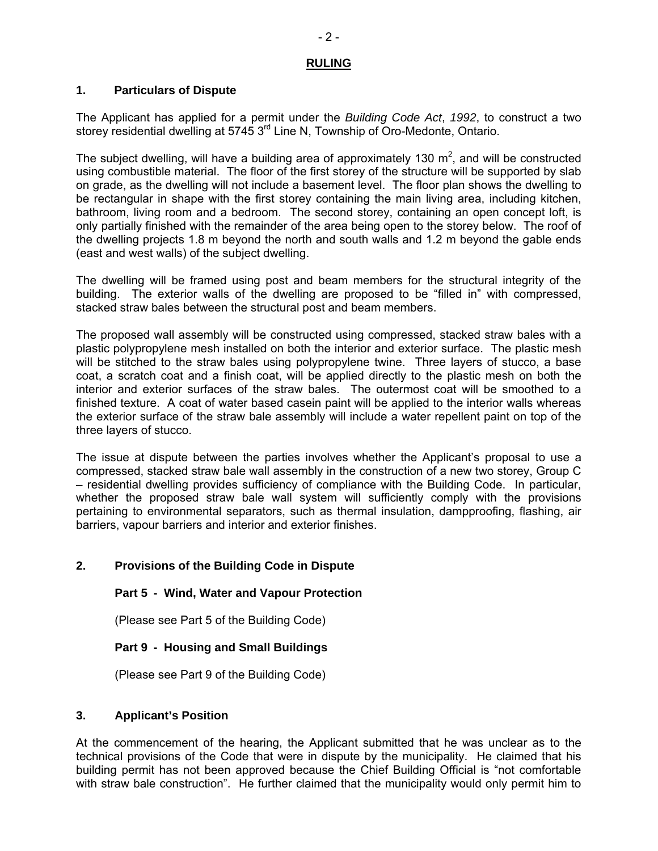### **RULING**

## **1. Particulars of Dispute**

The Applicant has applied for a permit under the *Building Code Act*, *1992*, to construct a two storey residential dwelling at 5745 3<sup>rd</sup> Line N, Township of Oro-Medonte, Ontario.

The subject dwelling, will have a building area of approximately 130  $m^2$ , and will be constructed using combustible material. The floor of the first storey of the structure will be supported by slab on grade, as the dwelling will not include a basement level. The floor plan shows the dwelling to be rectangular in shape with the first storey containing the main living area, including kitchen, bathroom, living room and a bedroom. The second storey, containing an open concept loft, is only partially finished with the remainder of the area being open to the storey below. The roof of the dwelling projects 1.8 m beyond the north and south walls and 1.2 m beyond the gable ends (east and west walls) of the subject dwelling.

The dwelling will be framed using post and beam members for the structural integrity of the building. The exterior walls of the dwelling are proposed to be "filled in" with compressed, stacked straw bales between the structural post and beam members.

The proposed wall assembly will be constructed using compressed, stacked straw bales with a plastic polypropylene mesh installed on both the interior and exterior surface. The plastic mesh will be stitched to the straw bales using polypropylene twine. Three layers of stucco, a base coat, a scratch coat and a finish coat, will be applied directly to the plastic mesh on both the interior and exterior surfaces of the straw bales. The outermost coat will be smoothed to a finished texture. A coat of water based casein paint will be applied to the interior walls whereas the exterior surface of the straw bale assembly will include a water repellent paint on top of the three layers of stucco.

The issue at dispute between the parties involves whether the Applicant's proposal to use a compressed, stacked straw bale wall assembly in the construction of a new two storey, Group C – residential dwelling provides sufficiency of compliance with the Building Code. In particular, whether the proposed straw bale wall system will sufficiently comply with the provisions pertaining to environmental separators, such as thermal insulation, dampproofing, flashing, air barriers, vapour barriers and interior and exterior finishes.

## **2. Provisions of the Building Code in Dispute**

## **Part 5 - Wind, Water and Vapour Protection**

(Please see Part 5 of the Building Code)

## **Part 9 - Housing and Small Buildings**

(Please see Part 9 of the Building Code)

### **3. Applicant's Position**

At the commencement of the hearing, the Applicant submitted that he was unclear as to the technical provisions of the Code that were in dispute by the municipality. He claimed that his building permit has not been approved because the Chief Building Official is "not comfortable with straw bale construction". He further claimed that the municipality would only permit him to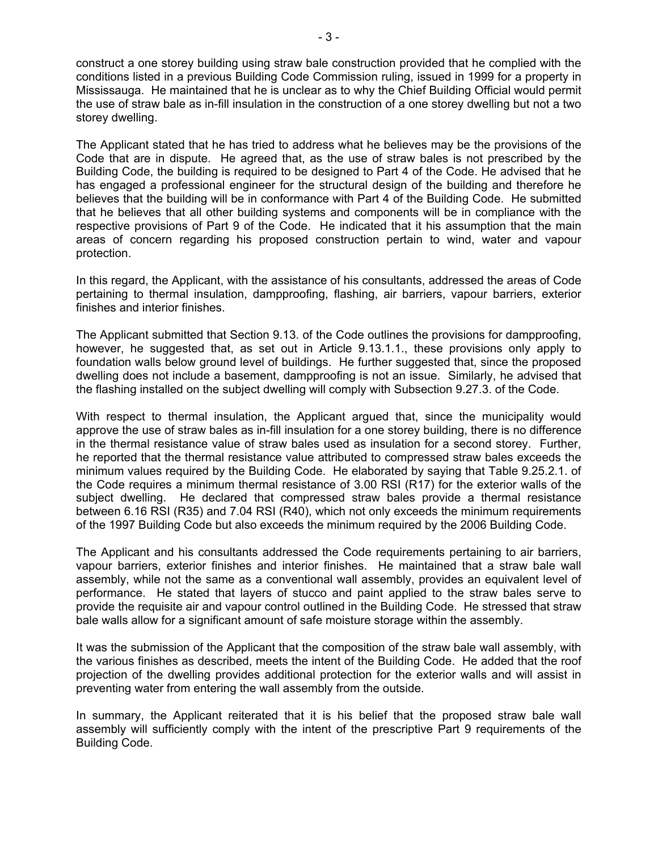construct a one storey building using straw bale construction provided that he complied with the conditions listed in a previous Building Code Commission ruling, issued in 1999 for a property in Mississauga. He maintained that he is unclear as to why the Chief Building Official would permit the use of straw bale as in-fill insulation in the construction of a one storey dwelling but not a two storey dwelling.

The Applicant stated that he has tried to address what he believes may be the provisions of the Code that are in dispute. He agreed that, as the use of straw bales is not prescribed by the Building Code, the building is required to be designed to Part 4 of the Code. He advised that he has engaged a professional engineer for the structural design of the building and therefore he believes that the building will be in conformance with Part 4 of the Building Code. He submitted that he believes that all other building systems and components will be in compliance with the respective provisions of Part 9 of the Code. He indicated that it his assumption that the main areas of concern regarding his proposed construction pertain to wind, water and vapour protection.

In this regard, the Applicant, with the assistance of his consultants, addressed the areas of Code pertaining to thermal insulation, dampproofing, flashing, air barriers, vapour barriers, exterior finishes and interior finishes.

The Applicant submitted that Section 9.13. of the Code outlines the provisions for dampproofing, however, he suggested that, as set out in Article 9.13.1.1., these provisions only apply to foundation walls below ground level of buildings. He further suggested that, since the proposed dwelling does not include a basement, dampproofing is not an issue. Similarly, he advised that the flashing installed on the subject dwelling will comply with Subsection 9.27.3. of the Code.

With respect to thermal insulation, the Applicant argued that, since the municipality would approve the use of straw bales as in-fill insulation for a one storey building, there is no difference in the thermal resistance value of straw bales used as insulation for a second storey. Further, he reported that the thermal resistance value attributed to compressed straw bales exceeds the minimum values required by the Building Code. He elaborated by saying that Table 9.25.2.1. of the Code requires a minimum thermal resistance of 3.00 RSI (R17) for the exterior walls of the subject dwelling. He declared that compressed straw bales provide a thermal resistance between 6.16 RSI (R35) and 7.04 RSI (R40), which not only exceeds the minimum requirements of the 1997 Building Code but also exceeds the minimum required by the 2006 Building Code.

The Applicant and his consultants addressed the Code requirements pertaining to air barriers, vapour barriers, exterior finishes and interior finishes. He maintained that a straw bale wall assembly, while not the same as a conventional wall assembly, provides an equivalent level of performance. He stated that layers of stucco and paint applied to the straw bales serve to provide the requisite air and vapour control outlined in the Building Code. He stressed that straw bale walls allow for a significant amount of safe moisture storage within the assembly.

It was the submission of the Applicant that the composition of the straw bale wall assembly, with the various finishes as described, meets the intent of the Building Code. He added that the roof projection of the dwelling provides additional protection for the exterior walls and will assist in preventing water from entering the wall assembly from the outside.

In summary, the Applicant reiterated that it is his belief that the proposed straw bale wall assembly will sufficiently comply with the intent of the prescriptive Part 9 requirements of the Building Code.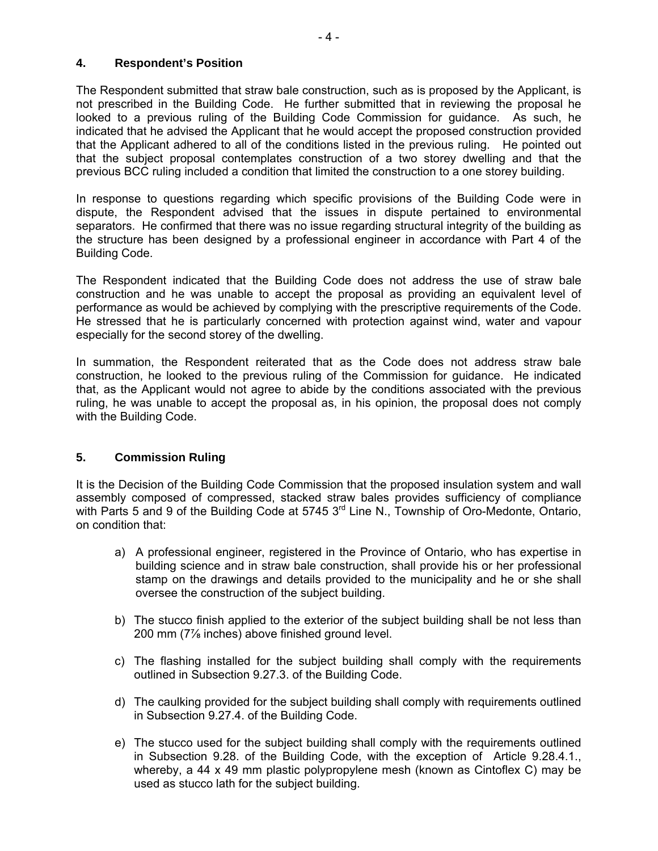#### **4. Respondent's Position**

The Respondent submitted that straw bale construction, such as is proposed by the Applicant, is not prescribed in the Building Code. He further submitted that in reviewing the proposal he looked to a previous ruling of the Building Code Commission for guidance. As such, he indicated that he advised the Applicant that he would accept the proposed construction provided that the Applicant adhered to all of the conditions listed in the previous ruling. He pointed out that the subject proposal contemplates construction of a two storey dwelling and that the previous BCC ruling included a condition that limited the construction to a one storey building.

In response to questions regarding which specific provisions of the Building Code were in dispute, the Respondent advised that the issues in dispute pertained to environmental separators. He confirmed that there was no issue regarding structural integrity of the building as the structure has been designed by a professional engineer in accordance with Part 4 of the Building Code.

The Respondent indicated that the Building Code does not address the use of straw bale construction and he was unable to accept the proposal as providing an equivalent level of performance as would be achieved by complying with the prescriptive requirements of the Code. He stressed that he is particularly concerned with protection against wind, water and vapour especially for the second storey of the dwelling.

In summation, the Respondent reiterated that as the Code does not address straw bale construction, he looked to the previous ruling of the Commission for guidance. He indicated that, as the Applicant would not agree to abide by the conditions associated with the previous ruling, he was unable to accept the proposal as, in his opinion, the proposal does not comply with the Building Code.

### **5. Commission Ruling**

It is the Decision of the Building Code Commission that the proposed insulation system and wall assembly composed of compressed, stacked straw bales provides sufficiency of compliance with Parts 5 and 9 of the Building Code at 5745 3<sup>rd</sup> Line N., Township of Oro-Medonte, Ontario, on condition that:

- a) A professional engineer, registered in the Province of Ontario, who has expertise in building science and in straw bale construction, shall provide his or her professional stamp on the drawings and details provided to the municipality and he or she shall oversee the construction of the subject building.
- b) The stucco finish applied to the exterior of the subject building shall be not less than 200 mm (7⅞ inches) above finished ground level.
- c) The flashing installed for the subject building shall comply with the requirements outlined in Subsection 9.27.3. of the Building Code.
- d) The caulking provided for the subject building shall comply with requirements outlined in Subsection 9.27.4. of the Building Code.
- e) The stucco used for the subject building shall comply with the requirements outlined in Subsection 9.28. of the Building Code, with the exception of Article 9.28.4.1., whereby, a 44 x 49 mm plastic polypropylene mesh (known as Cintoflex C) may be used as stucco lath for the subject building.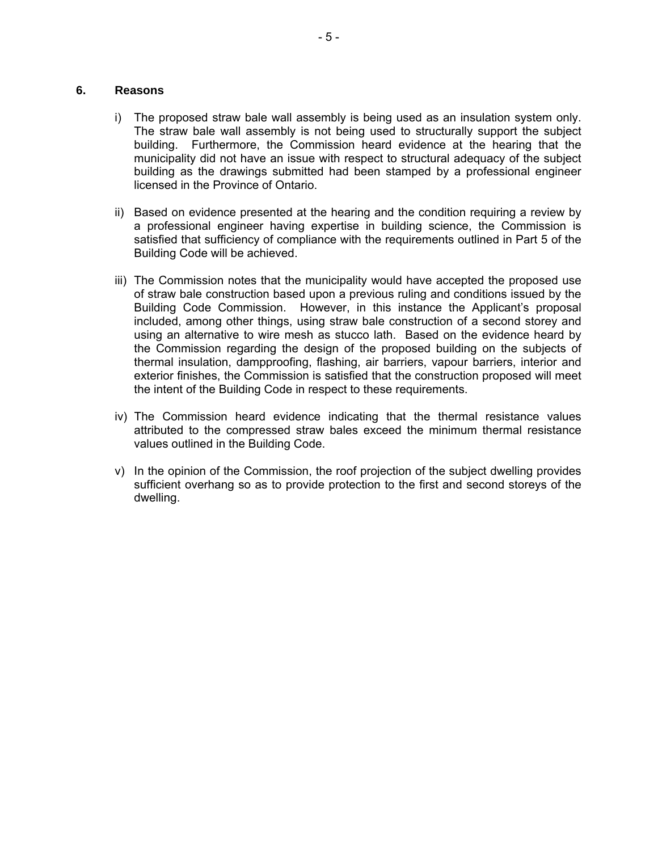#### **6. Reasons**

- i) The proposed straw bale wall assembly is being used as an insulation system only. The straw bale wall assembly is not being used to structurally support the subject building. Furthermore, the Commission heard evidence at the hearing that the municipality did not have an issue with respect to structural adequacy of the subject building as the drawings submitted had been stamped by a professional engineer licensed in the Province of Ontario.
- ii) Based on evidence presented at the hearing and the condition requiring a review by a professional engineer having expertise in building science, the Commission is satisfied that sufficiency of compliance with the requirements outlined in Part 5 of the Building Code will be achieved.
- iii) The Commission notes that the municipality would have accepted the proposed use of straw bale construction based upon a previous ruling and conditions issued by the Building Code Commission. However, in this instance the Applicant's proposal included, among other things, using straw bale construction of a second storey and using an alternative to wire mesh as stucco lath. Based on the evidence heard by the Commission regarding the design of the proposed building on the subjects of thermal insulation, dampproofing, flashing, air barriers, vapour barriers, interior and exterior finishes, the Commission is satisfied that the construction proposed will meet the intent of the Building Code in respect to these requirements.
- iv) The Commission heard evidence indicating that the thermal resistance values attributed to the compressed straw bales exceed the minimum thermal resistance values outlined in the Building Code.
- v) In the opinion of the Commission, the roof projection of the subject dwelling provides sufficient overhang so as to provide protection to the first and second storeys of the dwelling.